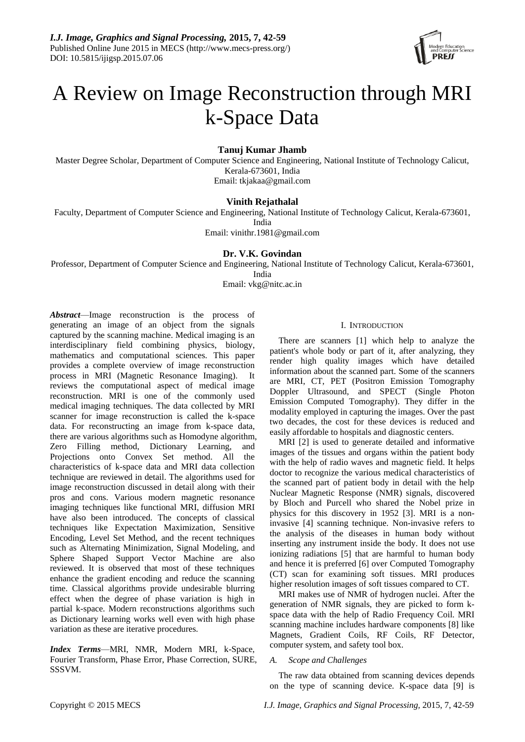

# A Review on Image Reconstruction through MRI k-Space Data

# **Tanuj Kumar Jhamb**

Master Degree Scholar, Department of Computer Science and Engineering, National Institute of Technology Calicut, Kerala-673601, India Email: tkjakaa@gmail.com

# **Vinith Rejathalal**

Faculty, Department of Computer Science and Engineering, National Institute of Technology Calicut, Kerala-673601, India Email: vinithr.1981@gmail.com

# **Dr. V.K. Govindan**

Professor, Department of Computer Science and Engineering, National Institute of Technology Calicut, Kerala-673601, India

Email: vkg@nitc.ac.in

*Abstract*—Image reconstruction is the process of generating an image of an object from the signals captured by the scanning machine. Medical imaging is an interdisciplinary field combining physics, biology, mathematics and computational sciences. This paper provides a complete overview of image reconstruction process in MRI (Magnetic Resonance Imaging). It reviews the computational aspect of medical image reconstruction. MRI is one of the commonly used medical imaging techniques. The data collected by MRI scanner for image reconstruction is called the k-space data. For reconstructing an image from k-space data, there are various algorithms such as Homodyne algorithm, Zero Filling method, Dictionary Learning, and Projections onto Convex Set method. All the characteristics of k-space data and MRI data collection technique are reviewed in detail. The algorithms used for image reconstruction discussed in detail along with their pros and cons. Various modern magnetic resonance imaging techniques like functional MRI, diffusion MRI have also been introduced. The concepts of classical techniques like Expectation Maximization, Sensitive Encoding, Level Set Method, and the recent techniques such as Alternating Minimization, Signal Modeling, and Sphere Shaped Support Vector Machine are also reviewed. It is observed that most of these techniques enhance the gradient encoding and reduce the scanning time. Classical algorithms provide undesirable blurring effect when the degree of phase variation is high in partial k-space. Modern reconstructions algorithms such as Dictionary learning works well even with high phase variation as these are iterative procedures.

*Index Terms*—MRI, NMR, Modern MRI, k-Space, Fourier Transform, Phase Error, Phase Correction, SURE, SSSVM.

# I. INTRODUCTION

There are scanners [1] which help to analyze the patient's whole body or part of it, after analyzing, they render high quality images which have detailed information about the scanned part. Some of the scanners are MRI, CT, PET (Positron Emission Tomography Doppler Ultrasound, and SPECT (Single Photon Emission Computed Tomography). They differ in the modality employed in capturing the images. Over the past two decades, the cost for these devices is reduced and easily affordable to hospitals and diagnostic centers.

MRI [2] is used to generate detailed and informative images of the tissues and organs within the patient body with the help of radio waves and magnetic field. It helps doctor to recognize the various medical characteristics of the scanned part of patient body in detail with the help Nuclear Magnetic Response (NMR) signals, discovered by Bloch and Purcell who shared the Nobel prize in physics for this discovery in 1952 [3]. MRI is a noninvasive [4] scanning technique. Non-invasive refers to the analysis of the diseases in human body without inserting any instrument inside the body. It does not use ionizing radiations [5] that are harmful to human body and hence it is preferred [6] over Computed Tomography (CT) scan for examining soft tissues. MRI produces higher resolution images of soft tissues compared to CT.

MRI makes use of NMR of hydrogen nuclei. After the generation of NMR signals, they are picked to form kspace data with the help of Radio Frequency Coil. MRI scanning machine includes hardware components [8] like Magnets, Gradient Coils, RF Coils, RF Detector, computer system, and safety tool box.

## *A. Scope and Challenges*

The raw data obtained from scanning devices depends on the type of scanning device. K-space data [9] is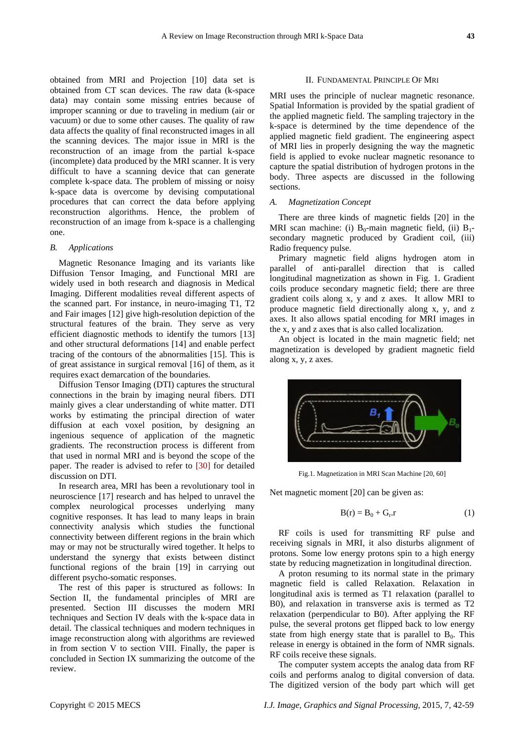obtained from MRI and Projection [10] data set is obtained from CT scan devices. The raw data (k-space data) may contain some missing entries because of improper scanning or due to traveling in medium (air or vacuum) or due to some other causes. The quality of raw data affects the quality of final reconstructed images in all the scanning devices. The major issue in MRI is the reconstruction of an image from the partial k-space (incomplete) data produced by the MRI scanner. It is very difficult to have a scanning device that can generate complete k-space data. The problem of missing or noisy k-space data is overcome by devising computational procedures that can correct the data before applying reconstruction algorithms. Hence, the problem of reconstruction of an image from k-space is a challenging one.

#### *B. Applications*

Magnetic Resonance Imaging and its variants like Diffusion Tensor Imaging, and Functional MRI are widely used in both research and diagnosis in Medical Imaging. Different modalities reveal different aspects of the scanned part. For instance, in neuro-imaging T1, T2 and Fair images [12] give high-resolution depiction of the structural features of the brain. They serve as very efficient diagnostic methods to identify the tumors [13] and other structural deformations [14] and enable perfect tracing of the contours of the abnormalities [15]. This is of great assistance in surgical removal [16] of them, as it requires exact demarcation of the boundaries.

Diffusion Tensor Imaging (DTI) captures the structural connections in the brain by imaging neural fibers. DTI mainly gives a clear understanding of white matter. DTI works by estimating the principal direction of water diffusion at each voxel position, by designing an ingenious sequence of application of the magnetic gradients. The reconstruction process is different from that used in normal MRI and is beyond the scope of the paper. The reader is advised to refer to [30] for detailed discussion on DTI.

In research area, MRI has been a revolutionary tool in neuroscience [17] research and has helped to unravel the complex neurological processes underlying many cognitive responses. It has lead to many leaps in brain connectivity analysis which studies the functional connectivity between different regions in the brain which may or may not be structurally wired together. It helps to understand the synergy that exists between distinct functional regions of the brain [19] in carrying out different psycho-somatic responses.

The rest of this paper is structured as follows: In Section II, the fundamental principles of MRI are presented. Section III discusses the modern MRI techniques and Section IV deals with the k-space data in detail. The classical techniques and modern techniques in image reconstruction along with algorithms are reviewed in from section V to section VIII. Finally, the paper is concluded in Section IX summarizing the outcome of the review.

#### II. FUNDAMENTAL PRINCIPLE OF MRI

MRI uses the principle of nuclear magnetic resonance. Spatial Information is provided by the spatial gradient of the applied magnetic field. The sampling trajectory in the k-space is determined by the time dependence of the applied magnetic field gradient. The engineering aspect of MRI lies in properly designing the way the magnetic field is applied to evoke nuclear magnetic resonance to capture the spatial distribution of hydrogen protons in the body. Three aspects are discussed in the following sections.

# *A. Magnetization Concept*

There are three kinds of magnetic fields [20] in the MRI scan machine: (i)  $B_0$ -main magnetic field, (ii)  $B_1$ secondary magnetic produced by Gradient coil, (iii) Radio frequency pulse.

Primary magnetic field aligns hydrogen atom in parallel of anti-parallel direction that is called longitudinal magnetization as shown in Fig. 1. Gradient coils produce secondary magnetic field; there are three gradient coils along x, y and z axes. It allow MRI to produce magnetic field directionally along x, y, and z axes. It also allows spatial encoding for MRI images in the x, y and z axes that is also called localization.

An object is located in the main magnetic field; net magnetization is developed by gradient magnetic field along x, y, z axes.



Fig.1. Magnetization in MRI Scan Machine [20, 60]

Net magnetic moment [20] can be given as:

$$
B(r) = B_0 + G_r.r \tag{1}
$$

RF coils is used for transmitting RF pulse and receiving signals in MRI, it also disturbs alignment of protons. Some low energy protons spin to a high energy state by reducing magnetization in longitudinal direction.

A proton resuming to its normal state in the primary magnetic field is called Relaxation. Relaxation in longitudinal axis is termed as T1 relaxation (parallel to B0), and relaxation in transverse axis is termed as T2 relaxation (perpendicular to B0). After applying the RF pulse, the several protons get flipped back to low energy state from high energy state that is parallel to  $B_0$ . This release in energy is obtained in the form of NMR signals. RF coils receive these signals.

The computer system accepts the analog data from RF coils and performs analog to digital conversion of data. The digitized version of the body part which will get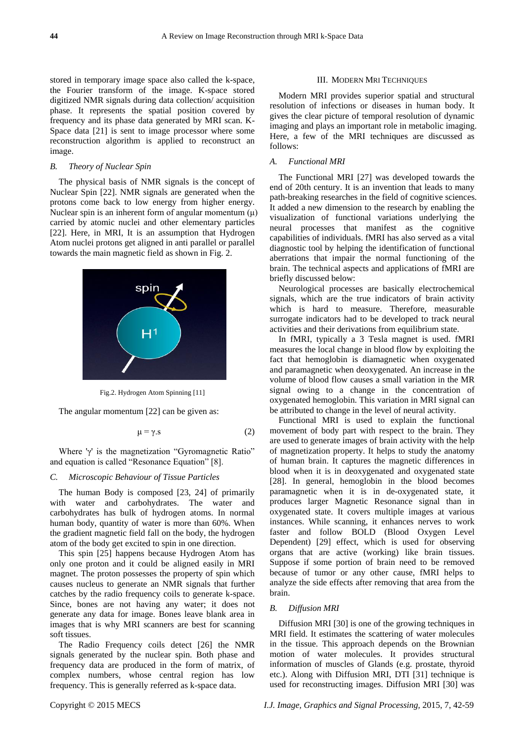stored in temporary image space also called the k-space, the Fourier transform of the image. K-space stored digitized NMR signals during data collection/ acquisition phase. It represents the spatial position covered by frequency and its phase data generated by MRI scan. K-Space data [21] is sent to image processor where some reconstruction algorithm is applied to reconstruct an image.

## *B. Theory of Nuclear Spin*

The physical basis of NMR signals is the concept of Nuclear Spin [22]. NMR signals are generated when the protons come back to low energy from higher energy. Nuclear spin is an inherent form of angular momentum  $(\mu)$ carried by atomic nuclei and other elementary particles [22]. Here, in MRI, It is an assumption that Hydrogen Atom nuclei protons get aligned in anti parallel or parallel towards the main magnetic field as shown in Fig. 2.



Fig.2. Hydrogen Atom Spinning [11]

The angular momentum [22] can be given as:

$$
\mu = \gamma \tag{2}
$$

Where 'γ' is the magnetization "Gyromagnetic Ratio" and equation is called "Resonance Equation" [8].

## *C. Microscopic Behaviour of Tissue Particles*

The human Body is composed [23, 24] of primarily with water and carbohydrates. The water and carbohydrates has bulk of hydrogen atoms. In normal human body, quantity of water is more than 60%. When the gradient magnetic field fall on the body, the hydrogen atom of the body get excited to spin in one direction.

This spin [25] happens because Hydrogen Atom has only one proton and it could be aligned easily in MRI magnet. The proton possesses the property of spin which causes nucleus to generate an NMR signals that further catches by the radio frequency coils to generate k-space. Since, bones are not having any water; it does not generate any data for image. Bones leave blank area in images that is why MRI scanners are best for scanning soft tissues.

The Radio Frequency coils detect [26] the NMR signals generated by the nuclear spin. Both phase and frequency data are produced in the form of matrix, of complex numbers, whose central region has low frequency. This is generally referred as k-space data.

## III. MODERN MRI TECHNIQUES

Modern MRI provides superior spatial and structural resolution of infections or diseases in human body. It gives the clear picture of temporal resolution of dynamic imaging and plays an important role in metabolic imaging. Here, a few of the MRI techniques are discussed as follows:

# *A. Functional MRI*

The Functional MRI [27] was developed towards the end of 20th century. It is an invention that leads to many path-breaking researches in the field of cognitive sciences. It added a new dimension to the research by enabling the visualization of functional variations underlying the neural processes that manifest as the cognitive capabilities of individuals. fMRI has also served as a vital diagnostic tool by helping the identification of functional aberrations that impair the normal functioning of the brain. The technical aspects and applications of fMRI are briefly discussed below:

Neurological processes are basically electrochemical signals, which are the true indicators of brain activity which is hard to measure. Therefore, measurable surrogate indicators had to be developed to track neural activities and their derivations from equilibrium state.

In fMRI, typically a 3 Tesla magnet is used. fMRI measures the local change in blood flow by exploiting the fact that hemoglobin is diamagnetic when oxygenated and paramagnetic when deoxygenated. An increase in the volume of blood flow causes a small variation in the MR signal owing to a change in the concentration of oxygenated hemoglobin. This variation in MRI signal can be attributed to change in the level of neural activity.

Functional MRI is used to explain the functional movement of body part with respect to the brain. They are used to generate images of brain activity with the help of magnetization property. It helps to study the anatomy of human brain. It captures the magnetic differences in blood when it is in deoxygenated and oxygenated state [28]. In general, hemoglobin in the blood becomes paramagnetic when it is in de-oxygenated state, it produces larger Magnetic Resonance signal than in oxygenated state. It covers multiple images at various instances. While scanning, it enhances nerves to work faster and follow BOLD (Blood Oxygen Level Dependent) [29] effect, which is used for observing organs that are active (working) like brain tissues. Suppose if some portion of brain need to be removed because of tumor or any other cause, fMRI helps to analyze the side effects after removing that area from the brain.

# *B. Diffusion MRI*

Diffusion MRI [30] is one of the growing techniques in MRI field. It estimates the scattering of water molecules in the tissue. This approach depends on the Brownian motion of water molecules. It provides structural information of muscles of Glands (e.g. prostate, thyroid etc.). Along with Diffusion MRI, DTI [31] technique is used for reconstructing images. Diffusion MRI [30] was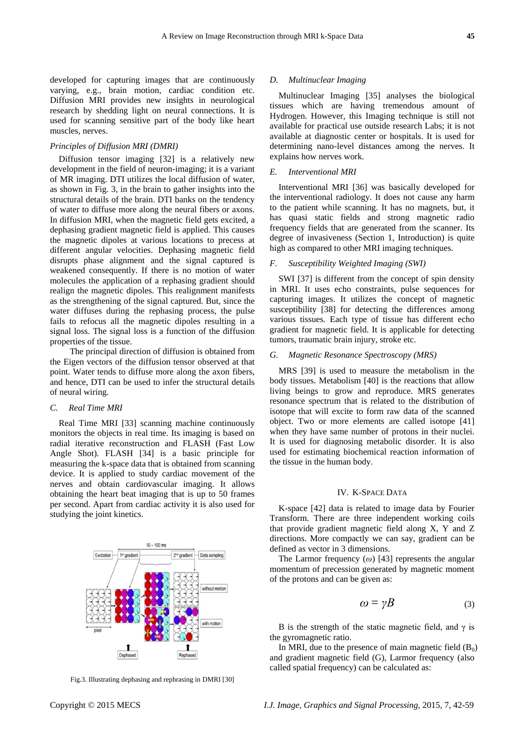#### *Principles of Diffusion MRI (DMRI)*

Diffusion tensor imaging [32] is a relatively new development in the field of neuron-imaging; it is a variant of MR imaging. DTI utilizes the local diffusion of water, as shown in Fig. 3, in the brain to gather insights into the structural details of the brain. DTI banks on the tendency of water to diffuse more along the neural fibers or axons. In diffusion MRI, when the magnetic field gets excited, a dephasing gradient magnetic field is applied. This causes the magnetic dipoles at various locations to precess at different angular velocities. Dephasing magnetic field disrupts phase alignment and the signal captured is weakened consequently. If there is no motion of water molecules the application of a rephasing gradient should realign the magnetic dipoles. This realignment manifests as the strengthening of the signal captured. But, since the water diffuses during the rephasing process, the pulse fails to refocus all the magnetic dipoles resulting in a signal loss. The signal loss is a function of the diffusion properties of the tissue.

 The principal direction of diffusion is obtained from the Eigen vectors of the diffusion tensor observed at that point. Water tends to diffuse more along the axon fibers, and hence, DTI can be used to infer the structural details of neural wiring.

#### *C. Real Time MRI*

Real Time MRI [33] scanning machine continuously monitors the objects in real time. Its imaging is based on radial iterative reconstruction and FLASH (Fast Low Angle Shot). FLASH [34] is a basic principle for measuring the k-space data that is obtained from scanning device. It is applied to study cardiac movement of the nerves and obtain cardiovascular imaging. It allows obtaining the heart beat imaging that is up to 50 frames per second. Apart from cardiac activity it is also used for studying the joint kinetics.

Fig.3. Illustrating dephasing and rephrasing in DMRI [30]

## *D. Multinuclear Imaging*

Multinuclear Imaging [35] analyses the biological tissues which are having tremendous amount of Hydrogen. However, this Imaging technique is still not available for practical use outside research Labs; it is not available at diagnostic center or hospitals. It is used for determining nano-level distances among the nerves. It explains how nerves work.

#### *E. Interventional MRI*

Interventional MRI [36] was basically developed for the interventional radiology. It does not cause any harm to the patient while scanning. It has no magnets, but, it has quasi static fields and strong magnetic radio frequency fields that are generated from the scanner. Its degree of invasiveness (Section 1, Introduction) is quite high as compared to other MRI imaging techniques.

## *F. Susceptibility Weighted Imaging (SWI)*

SWI [37] is different from the concept of spin density in MRI. It uses echo constraints, pulse sequences for capturing images. It utilizes the concept of magnetic susceptibility [38] for detecting the differences among various tissues. Each type of tissue has different echo gradient for magnetic field. It is applicable for detecting tumors, traumatic brain injury, stroke etc.

#### *G. Magnetic Resonance Spectroscopy (MRS)*

MRS [39] is used to measure the metabolism in the body tissues. Metabolism [40] is the reactions that allow living beings to grow and reproduce. MRS generates resonance spectrum that is related to the distribution of isotope that will excite to form raw data of the scanned object. Two or more elements are called isotope [41] when they have same number of protons in their nuclei. It is used for diagnosing metabolic disorder. It is also used for estimating biochemical reaction information of the tissue in the human body.

#### IV. K-SPACE DATA

K-space [42] data is related to image data by Fourier Transform. There are three independent working coils that provide gradient magnetic field along X, Y and Z directions. More compactly we can say, gradient can be defined as vector in 3 dimensions.

The Larmor frequency (*ω*) [43] represents the angular momentum of precession generated by magnetic moment of the protons and can be given as:

$$
\omega = \gamma B \tag{3}
$$

B is the strength of the static magnetic field, and  $\gamma$  is the gyromagnetic ratio.

In MRI, due to the presence of main magnetic field  $(B_0)$ and gradient magnetic field (G), Larmor frequency (also called spatial frequency) can be calculated as:

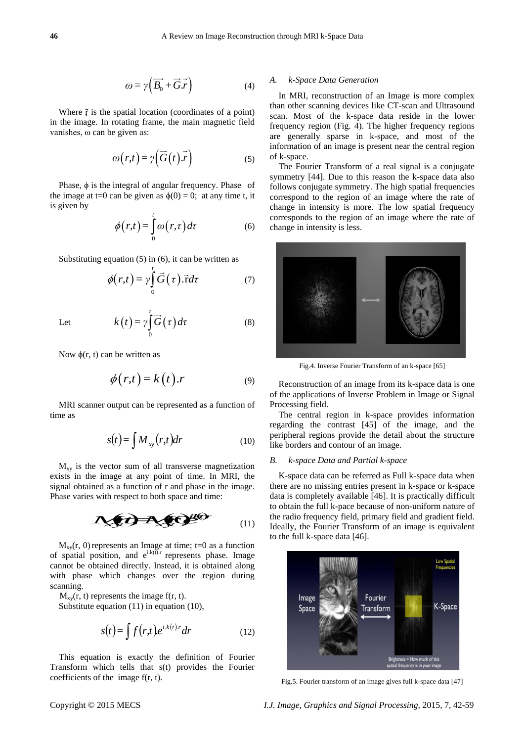(8)

$$
\omega = \gamma \left( \overrightarrow{B_0} + \overrightarrow{G} \cdot \overrightarrow{r} \right) \tag{4}
$$

Where  $\bar{r}$  is the spatial location (coordinates of a point) in the image. In rotating frame, the main magnetic field vanishes, ω can be given as:

$$
\omega(r,t) = \gamma \left(\vec{G}(t).\vec{r}\right) \tag{5}
$$

Phase, ϕ is the integral of angular frequency. Phase of the image at t=0 can be given as  $\phi(0) = 0$ ; at any time t, it is given by

$$
\phi(r,t) = \int_{0}^{t} \omega(r,\tau) d\tau
$$
 (6)

Substituting equation (5) in (6), it can be written as

 $\boldsymbol{0}$  $k(t) = \gamma \int_0^t \vec{G}(\tau) d\tau$ 

$$
\phi(r,t) = \gamma \int_{0}^{t} \vec{G}(\tau) \cdot \vec{r} d\tau \tag{7}
$$

Let  $k(t) = \gamma | G(\tau)|$ 

Now 
$$
\phi(r, t)
$$
 can be written as

$$
\phi(r,t) = k(t).r \tag{9}
$$

MRI scanner output can be represented as a function of time as

$$
s(t) = \int M_{xy}(r, t) dr \tag{10}
$$

 $M_{xy}$  is the vector sum of all transverse magnetization exists in the image at any point of time. In MRI, the signal obtained as a function of r and phase in the image. Phase varies with respect to both space and time:

$$
\mathbf{A}(\mathbf{z}) = \mathbf{A}(\mathbf{z})^{\mathbf{z}} \mathbf{z}^{\mathbf{z}}
$$
 (11)

 $M_{xy}(r, 0)$  represents an Image at time; t=0 as a function of spatial position, and  $e^{i k(t) \tau}$  represents phase. Image cannot be obtained directly. Instead, it is obtained along with phase which changes over the region during scanning.

 $M_{xx}(r, t)$  represents the image f(r, t).

Substitute equation (11) in equation (10),

$$
s(t) = \int f(r,t)e^{ik(t)r} dr
$$
 (12)

This equation is exactly the definition of Fourier Transform which tells that s(t) provides the Fourier coefficients of the image f(r, t).

#### *A. k-Space Data Generation*

In MRI, reconstruction of an Image is more complex than other scanning devices like CT-scan and Ultrasound scan. Most of the k-space data reside in the lower frequency region (Fig. 4). The higher frequency regions are generally sparse in k-space, and most of the information of an image is present near the central region of k-space.

The Fourier Transform of a real signal is a conjugate symmetry [44]. Due to this reason the k-space data also follows conjugate symmetry. The high spatial frequencies correspond to the region of an image where the rate of change in intensity is more. The low spatial frequency corresponds to the region of an image where the rate of change in intensity is less.



Fig.4. Inverse Fourier Transform of an k-space [65]

Reconstruction of an image from its k-space data is one of the applications of Inverse Problem in Image or Signal Processing field.

The central region in k-space provides information regarding the contrast [45] of the image, and the peripheral regions provide the detail about the structure like borders and contour of an image.

## *B. k-space Data and Partial k-space*

respect to both space and time:<br>
to obtain the full k-pace becau<br>
to obtain the full k-pace becau<br>
the radio frequency field, prince the radio frequency field, prince the radio frequency field, prince the radio frequency f *i*kka is completely available [46]<br>to obtain the full k-pace because<br>the radio frequency field, prima<br>Ideally, the Fourier Transform K-space data can be referred as Full k-space data when there are no missing entries present in k-space or k-space data is completely available [46]. It is practically difficult to obtain the full k-pace because of non-uniform nature of the radio frequency field, primary field and gradient field. Ideally, the Fourier Transform of an image is equivalent to the full k-space data [46].



Fig.5. Fourier transform of an image gives full k-space data [47]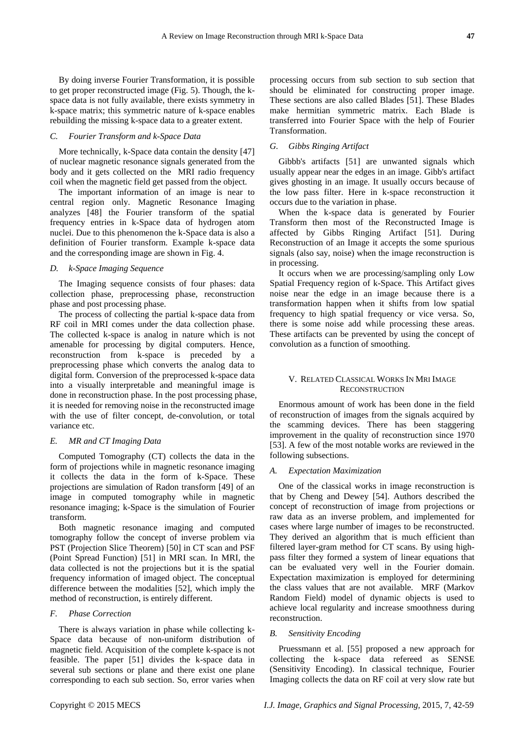By doing inverse Fourier Transformation, it is possible to get proper reconstructed image (Fig. 5). Though, the kspace data is not fully available, there exists symmetry in k-space matrix; this symmetric nature of k-space enables rebuilding the missing k-space data to a greater extent.

# *C. Fourier Transform and k-Space Data*

More technically, k-Space data contain the density [47] of nuclear magnetic resonance signals generated from the body and it gets collected on the MRI radio frequency coil when the magnetic field get passed from the object.

The important information of an image is near to central region only. Magnetic Resonance Imaging analyzes [48] the Fourier transform of the spatial frequency entries in k-Space data of hydrogen atom nuclei. Due to this phenomenon the k-Space data is also a definition of Fourier transform. Example k-space data and the corresponding image are shown in Fig. 4.

## *D. k-Space Imaging Sequence*

The Imaging sequence consists of four phases: data collection phase, preprocessing phase, reconstruction phase and post processing phase.

The process of collecting the partial k-space data from RF coil in MRI comes under the data collection phase. The collected k-space is analog in nature which is not amenable for processing by digital computers. Hence, reconstruction from k-space is preceded by a preprocessing phase which converts the analog data to digital form. Conversion of the preprocessed k-space data into a visually interpretable and meaningful image is done in reconstruction phase. In the post processing phase, it is needed for removing noise in the reconstructed image with the use of filter concept, de-convolution, or total variance etc.

## *E. MR and CT Imaging Data*

Computed Tomography (CT) collects the data in the form of projections while in magnetic resonance imaging it collects the data in the form of k-Space. These projections are simulation of Radon transform [49] of an image in computed tomography while in magnetic resonance imaging; k-Space is the simulation of Fourier transform.

Both magnetic resonance imaging and computed tomography follow the concept of inverse problem via PST (Projection Slice Theorem) [50] in CT scan and PSF (Point Spread Function) [51] in MRI scan. In MRI, the data collected is not the projections but it is the spatial frequency information of imaged object. The conceptual difference between the modalities [52], which imply the method of reconstruction, is entirely different.

## *F. Phase Correction*

There is always variation in phase while collecting k-Space data because of non-uniform distribution of magnetic field. Acquisition of the complete k-space is not feasible. The paper [51] divides the k-space data in several sub sections or plane and there exist one plane corresponding to each sub section. So, error varies when

processing occurs from sub section to sub section that should be eliminated for constructing proper image. These sections are also called Blades [51]. These Blades make hermitian symmetric matrix. Each Blade is transferred into Fourier Space with the help of Fourier Transformation.

# *G. Gibbs Ringing Artifact*

Gibbb's artifacts [51] are unwanted signals which usually appear near the edges in an image. Gibb's artifact gives ghosting in an image. It usually occurs because of the low pass filter. Here in k-space reconstruction it occurs due to the variation in phase.

When the k-space data is generated by Fourier Transform then most of the Reconstructed Image is affected by Gibbs Ringing Artifact [51]. During Reconstruction of an Image it accepts the some spurious signals (also say, noise) when the image reconstruction is in processing.

It occurs when we are processing/sampling only Low Spatial Frequency region of k-Space. This Artifact gives noise near the edge in an image because there is a transformation happen when it shifts from low spatial frequency to high spatial frequency or vice versa. So, there is some noise add while processing these areas. These artifacts can be prevented by using the concept of convolution as a function of smoothing.

## V. RELATED CLASSICAL WORKS IN MRI IMAGE **RECONSTRUCTION**

Enormous amount of work has been done in the field of reconstruction of images from the signals acquired by the scamming devices. There has been staggering improvement in the quality of reconstruction since 1970 [53]. A few of the most notable works are reviewed in the following subsections.

#### *A. Expectation Maximization*

One of the classical works in image reconstruction is that by Cheng and Dewey [54]. Authors described the concept of reconstruction of image from projections or raw data as an inverse problem, and implemented for cases where large number of images to be reconstructed. They derived an algorithm that is much efficient than filtered layer-gram method for CT scans. By using highpass filter they formed a system of linear equations that can be evaluated very well in the Fourier domain. Expectation maximization is employed for determining the class values that are not available. MRF (Markov Random Field) model of dynamic objects is used to achieve local regularity and increase smoothness during reconstruction.

#### *B. Sensitivity Encoding*

Pruessmann et al. [55] proposed a new approach for collecting the k-space data refereed as SENSE (Sensitivity Encoding). In classical technique, Fourier Imaging collects the data on RF coil at very slow rate but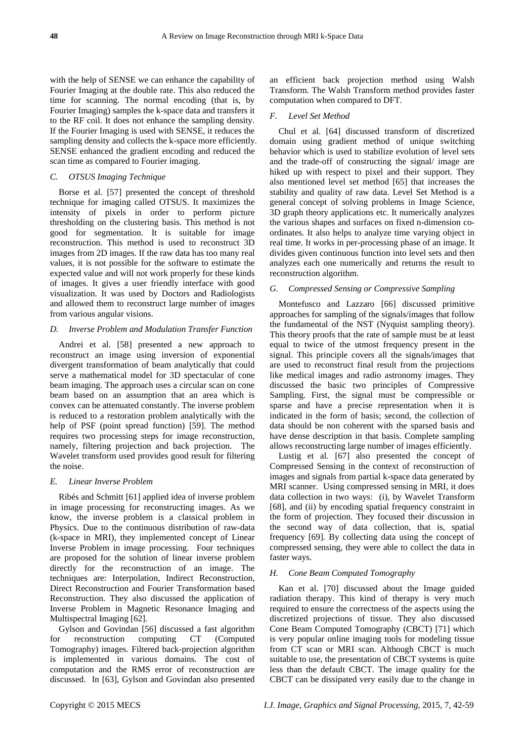with the help of SENSE we can enhance the capability of Fourier Imaging at the double rate. This also reduced the time for scanning. The normal encoding (that is, by Fourier Imaging) samples the k-space data and transfers it to the RF coil. It does not enhance the sampling density. If the Fourier Imaging is used with SENSE, it reduces the sampling density and collects the k-space more efficiently. SENSE enhanced the gradient encoding and reduced the scan time as compared to Fourier imaging.

## *C. OTSUS Imaging Technique*

Borse et al. [57] presented the concept of threshold technique for imaging called OTSUS. It maximizes the intensity of pixels in order to perform picture thresholding on the clustering basis. This method is not good for segmentation. It is suitable for image reconstruction. This method is used to reconstruct 3D images from 2D images. If the raw data has too many real values, it is not possible for the software to estimate the expected value and will not work properly for these kinds of images. It gives a user friendly interface with good visualization. It was used by Doctors and Radiologists and allowed them to reconstruct large number of images from various angular visions.

## *D. Inverse Problem and Modulation Transfer Function*

Andrei et al. [58] presented a new approach to reconstruct an image using inversion of exponential divergent transformation of beam analytically that could serve a mathematical model for 3D spectacular of cone beam imaging. The approach uses a circular scan on cone beam based on an assumption that an area which is convex can be attenuated constantly. The inverse problem is reduced to a restoration problem analytically with the help of PSF (point spread function) [59]. The method requires two processing steps for image reconstruction, namely, filtering projection and back projection. The Wavelet transform used provides good result for filtering the noise.

## *E. Linear Inverse Problem*

Ribés and Schmitt [61] applied idea of inverse problem in image processing for reconstructing images. As we know, the inverse problem is a classical problem in Physics. Due to the continuous distribution of raw-data (k-space in MRI), they implemented concept of Linear Inverse Problem in image processing. Four techniques are proposed for the solution of linear inverse problem directly for the reconstruction of an image. The techniques are: Interpolation, Indirect Reconstruction, Direct Reconstruction and Fourier Transformation based Reconstruction. They also discussed the application of Inverse Problem in Magnetic Resonance Imaging and Multispectral Imaging [62].

Gylson and Govindan [56] discussed a fast algorithm for reconstruction computing CT (Computed Tomography) images. Filtered back-projection algorithm is implemented in various domains. The cost of computation and the RMS error of reconstruction are discussed. In [63], Gylson and Govindan also presented an efficient back projection method using Walsh Transform. The Walsh Transform method provides faster computation when compared to DFT.

#### *F. Level Set Method*

Chul et al. [64] discussed transform of discretized domain using gradient method of unique switching behavior which is used to stabilize evolution of level sets and the trade-off of constructing the signal/ image are hiked up with respect to pixel and their support. They also mentioned level set method [65] that increases the stability and quality of raw data. Level Set Method is a general concept of solving problems in Image Science, 3D graph theory applications etc. It numerically analyzes the various shapes and surfaces on fixed n-dimension coordinates. It also helps to analyze time varying object in real time. It works in per-processing phase of an image. It divides given continuous function into level sets and then analyzes each one numerically and returns the result to reconstruction algorithm.

## *G. Compressed Sensing or Compressive Sampling*

Montefusco and Lazzaro [66] discussed primitive approaches for sampling of the signals/images that follow the fundamental of the NST (Nyquist sampling theory). This theory proofs that the rate of sample must be at least equal to twice of the utmost frequency present in the signal. This principle covers all the signals/images that are used to reconstruct final result from the projections like medical images and radio astronomy images. They discussed the basic two principles of Compressive Sampling. First, the signal must be compressible or sparse and have a precise representation when it is indicated in the form of basis; second, the collection of data should be non coherent with the sparsed basis and have dense description in that basis. Complete sampling allows reconstructing large number of images efficiently.

Lustig et al. [67] also presented the concept of Compressed Sensing in the context of reconstruction of images and signals from partial k-space data generated by MRI scanner. Using compressed sensing in MRI, it does data collection in two ways: (i), by Wavelet Transform [68], and (ii) by encoding spatial frequency constraint in the form of projection. They focused their discussion in the second way of data collection, that is, spatial frequency [69]. By collecting data using the concept of compressed sensing, they were able to collect the data in faster ways.

## *H. Cone Beam Computed Tomography*

Kan et al. [70] discussed about the Image guided radiation therapy. This kind of therapy is very much required to ensure the correctness of the aspects using the discretized projections of tissue. They also discussed Cone Beam Computed Tomography (CBCT) [71] which is very popular online imaging tools for modeling tissue from CT scan or MRI scan. Although CBCT is much suitable to use, the presentation of CBCT systems is quite less than the default CBCT. The image quality for the CBCT can be dissipated very easily due to the change in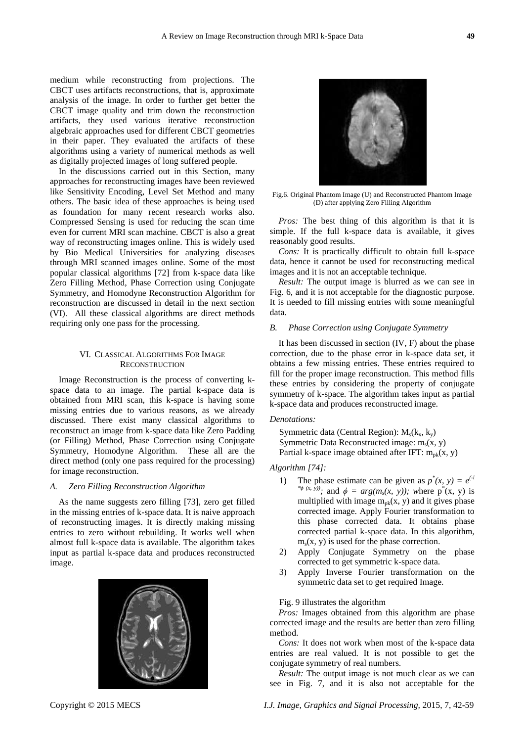medium while reconstructing from projections. The CBCT uses artifacts reconstructions, that is, approximate analysis of the image. In order to further get better the CBCT image quality and trim down the reconstruction artifacts, they used various iterative reconstruction algebraic approaches used for different CBCT geometries in their paper. They evaluated the artifacts of these algorithms using a variety of numerical methods as well as digitally projected images of long suffered people.

In the discussions carried out in this Section, many approaches for reconstructing images have been reviewed like Sensitivity Encoding, Level Set Method and many others. The basic idea of these approaches is being used as foundation for many recent research works also. Compressed Sensing is used for reducing the scan time even for current MRI scan machine. CBCT is also a great way of reconstructing images online. This is widely used by Bio Medical Universities for analyzing diseases through MRI scanned images online. Some of the most popular classical algorithms [72] from k-space data like Zero Filling Method, Phase Correction using Conjugate Symmetry, and Homodyne Reconstruction Algorithm for reconstruction are discussed in detail in the next section (VI). All these classical algorithms are direct methods requiring only one pass for the processing.

# VI. CLASSICAL ALGORITHMS FOR IMAGE **RECONSTRUCTION**

Image Reconstruction is the process of converting kspace data to an image. The partial k-space data is obtained from MRI scan, this k-space is having some missing entries due to various reasons, as we already discussed. There exist many classical algorithms to reconstruct an image from k-space data like Zero Padding (or Filling) Method, Phase Correction using Conjugate Symmetry, Homodyne Algorithm. These all are the direct method (only one pass required for the processing) for image reconstruction.

#### *A. Zero Filling Reconstruction Algorithm*

As the name suggests zero filling [73], zero get filled in the missing entries of k-space data. It is naive approach of reconstructing images. It is directly making missing entries to zero without rebuilding. It works well when almost full k-space data is available. The algorithm takes input as partial k-space data and produces reconstructed image.



Fig.6. Original Phantom Image (U) and Reconstructed Phantom Image (D) after applying Zero Filling Algorithm

*Pros:* The best thing of this algorithm is that it is simple. If the full k-space data is available, it gives reasonably good results.

*Cons:* It is practically difficult to obtain full k-space data, hence it cannot be used for reconstructing medical images and it is not an acceptable technique.

*Result:* The output image is blurred as we can see in Fig. 6, and it is not acceptable for the diagnostic purpose. It is needed to fill missing entries with some meaningful data.

#### *B. Phase Correction using Conjugate Symmetry*

It has been discussed in section (IV, F) about the phase correction, due to the phase error in k-space data set, it obtains a few missing entries. These entries required to fill for the proper image reconstruction. This method fills these entries by considering the property of conjugate symmetry of k-space. The algorithm takes input as partial k-space data and produces reconstructed image.

## *Denotations:*

Symmetric data (Central Region):  $M_s(k_x, k_y)$ Symmetric Data Reconstructed image:  $m_s(x, y)$ Partial k-space image obtained after IFT:  $m_{nk}(x, y)$ 

*Algorithm [74]:*

- 1) The phase estimate can be given as  $p^*(x, y) = e^{(-i)}$ <sup>\* $\phi$  (x, y)); and  $\phi = arg(m_s(x, y))$ ; where  $p^*(x, y)$  is</sup> multiplied with image  $m_{pk}(x, y)$  and it gives phase corrected image. Apply Fourier transformation to this phase corrected data. It obtains phase corrected partial k-space data. In this algorithm,  $m_s(x, y)$  is used for the phase correction.
- 2) Apply Conjugate Symmetry on the phase corrected to get symmetric k-space data.
- 3) Apply Inverse Fourier transformation on the symmetric data set to get required Image.

#### Fig. 9 illustrates the algorithm

*Pros:* Images obtained from this algorithm are phase corrected image and the results are better than zero filling method.

*Cons:* It does not work when most of the k-space data entries are real valued. It is not possible to get the conjugate symmetry of real numbers.

*Result:* The output image is not much clear as we can see in Fig. 7, and it is also not acceptable for the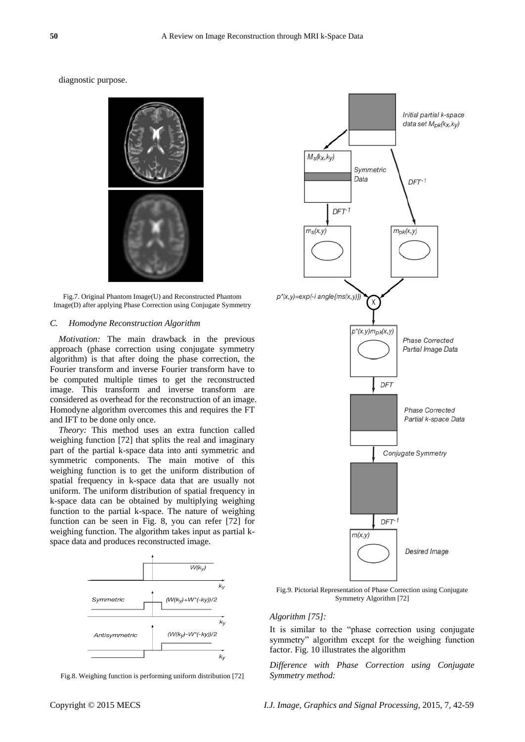diagnostic purpose.



Fig.7. Original Phantom Image(U) and Reconstructed Phantom Image(D) after applying Phase Correction using Conjugate Symmetry

# *C. Homodyne Reconstruction Algorithm*

*Motivation:* The main drawback in the previous approach (phase correction using conjugate symmetry algorithm) is that after doing the phase correction, the Fourier transform and inverse Fourier transform have to be computed multiple times to get the reconstructed image. This transform and inverse transform are considered as overhead for the reconstruction of an image. Homodyne algorithm overcomes this and requires the FT and IFT to be done only once.

*Theory:* This method uses an extra function called weighing function [72] that splits the real and imaginary part of the partial k-space data into anti symmetric and symmetric components. The main motive of this weighing function is to get the uniform distribution of spatial frequency in k-space data that are usually not uniform. The uniform distribution of spatial frequency in k-space data can be obtained by multiplying weighing function to the partial k-space. The nature of weighing function can be seen in Fig. 8, you can refer [72] for weighing function. The algorithm takes input as partial kspace data and produces reconstructed image.



Fig.8. Weighing function is performing uniform distribution [72]



Fig.9. Pictorial Representation of Phase Correction using Conjugate Symmetry Algorithm [72]

#### *Algorithm [75]:*

It is similar to the "phase correction using conjugate symmetry" algorithm except for the weighing function factor. Fig. 10 illustrates the algorithm

*Difference with Phase Correction using Conjugate Symmetry method:*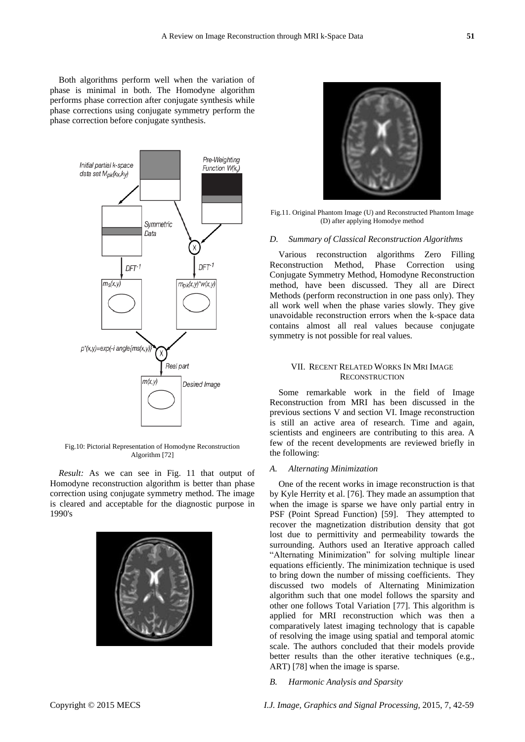Both algorithms perform well when the variation of phase is minimal in both. The Homodyne algorithm performs phase correction after conjugate synthesis while phase corrections using conjugate symmetry perform the phase correction before conjugate synthesis.



Fig.10: Pictorial Representation of Homodyne Reconstruction Algorithm [72]

*Result:* As we can see in Fig. 11 that output of Homodyne reconstruction algorithm is better than phase correction using conjugate symmetry method. The image is cleared and acceptable for the diagnostic purpose in 1990's





Fig.11. Original Phantom Image (U) and Reconstructed Phantom Image (D) after applying Homodye method

#### *D. Summary of Classical Reconstruction Algorithms*

Various reconstruction algorithms Zero Filling Reconstruction Method, Phase Correction using Conjugate Symmetry Method, Homodyne Reconstruction method, have been discussed. They all are Direct Methods (perform reconstruction in one pass only). They all work well when the phase varies slowly. They give unavoidable reconstruction errors when the k-space data contains almost all real values because conjugate symmetry is not possible for real values.

## VII. RECENT RELATED WORKS IN MRI IMAGE **RECONSTRUCTION**

Some remarkable work in the field of Image Reconstruction from MRI has been discussed in the previous sections V and section VI. Image reconstruction is still an active area of research. Time and again, scientists and engineers are contributing to this area. A few of the recent developments are reviewed briefly in the following:

#### *A. Alternating Minimization*

One of the recent works in image reconstruction is that by Kyle Herrity et al. [76]. They made an assumption that when the image is sparse we have only partial entry in PSF (Point Spread Function) [59]. They attempted to recover the magnetization distribution density that got lost due to permittivity and permeability towards the surrounding. Authors used an Iterative approach called "Alternating Minimization" for solving multiple linear equations efficiently. The minimization technique is used to bring down the number of missing coefficients. They discussed two models of Alternating Minimization algorithm such that one model follows the sparsity and other one follows Total Variation [77]. This algorithm is applied for MRI reconstruction which was then a comparatively latest imaging technology that is capable of resolving the image using spatial and temporal atomic scale. The authors concluded that their models provide better results than the other iterative techniques (e.g., ART) [78] when the image is sparse.

*B. Harmonic Analysis and Sparsity*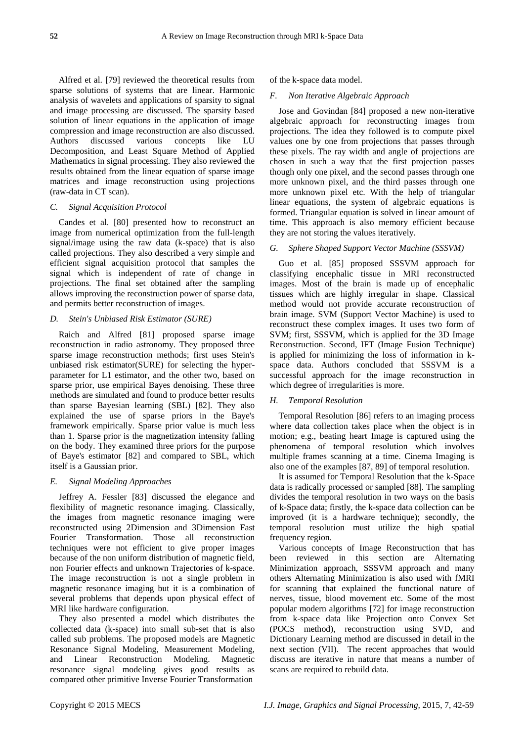Alfred et al. [79] reviewed the theoretical results from sparse solutions of systems that are linear. Harmonic analysis of wavelets and applications of sparsity to signal and image processing are discussed. The sparsity based solution of linear equations in the application of image compression and image reconstruction are also discussed. Authors discussed various concepts like LU Decomposition, and Least Square Method of Applied Mathematics in signal processing. They also reviewed the results obtained from the linear equation of sparse image matrices and image reconstruction using projections (raw-data in CT scan).

#### *C. Signal Acquisition Protocol*

Candes et al. [80] presented how to reconstruct an image from numerical optimization from the full-length signal/image using the raw data (k-space) that is also called projections. They also described a very simple and efficient signal acquisition protocol that samples the signal which is independent of rate of change in projections. The final set obtained after the sampling allows improving the reconstruction power of sparse data, and permits better reconstruction of images.

#### *D. Stein's Unbiased Risk Estimator (SURE)*

Raich and Alfred [81] proposed sparse image reconstruction in radio astronomy. They proposed three sparse image reconstruction methods; first uses Stein's unbiased risk estimator(SURE) for selecting the hyperparameter for L1 estimator, and the other two, based on sparse prior, use empirical Bayes denoising. These three methods are simulated and found to produce better results than sparse Bayesian learning (SBL) [82]. They also explained the use of sparse priors in the Baye's framework empirically. Sparse prior value is much less than 1. Sparse prior is the magnetization intensity falling on the body. They examined three priors for the purpose of Baye's estimator [82] and compared to SBL, which itself is a Gaussian prior.

#### *E. Signal Modeling Approaches*

Jeffrey A. Fessler [83] discussed the elegance and flexibility of magnetic resonance imaging. Classically, the images from magnetic resonance imaging were reconstructed using 2Dimension and 3Dimension Fast Fourier Transformation. Those all reconstruction techniques were not efficient to give proper images because of the non uniform distribution of magnetic field, non Fourier effects and unknown Trajectories of k-space. The image reconstruction is not a single problem in magnetic resonance imaging but it is a combination of several problems that depends upon physical effect of MRI like hardware configuration.

They also presented a model which distributes the collected data (k-space) into small sub-set that is also called sub problems. The proposed models are Magnetic Resonance Signal Modeling, Measurement Modeling, and Linear Reconstruction Modeling. Magnetic resonance signal modeling gives good results as compared other primitive Inverse Fourier Transformation

of the k-space data model.

## *F. Non Iterative Algebraic Approach*

Jose and Govindan [84] proposed a new non-iterative algebraic approach for reconstructing images from projections. The idea they followed is to compute pixel values one by one from projections that passes through these pixels. The ray width and angle of projections are chosen in such a way that the first projection passes though only one pixel, and the second passes through one more unknown pixel, and the third passes through one more unknown pixel etc. With the help of triangular linear equations, the system of algebraic equations is formed. Triangular equation is solved in linear amount of time. This approach is also memory efficient because they are not storing the values iteratively.

## *G. Sphere Shaped Support Vector Machine (SSSVM)*

Guo et al. [85] proposed SSSVM approach for classifying encephalic tissue in MRI reconstructed images. Most of the brain is made up of encephalic tissues which are highly irregular in shape. Classical method would not provide accurate reconstruction of brain image. SVM (Support Vector Machine) is used to reconstruct these complex images. It uses two form of SVM; first, SSSVM, which is applied for the 3D Image Reconstruction. Second, IFT (Image Fusion Technique) is applied for minimizing the loss of information in kspace data. Authors concluded that SSSVM is a successful approach for the image reconstruction in which degree of irregularities is more.

## *H. Temporal Resolution*

Temporal Resolution [86] refers to an imaging process where data collection takes place when the object is in motion; e.g., beating heart Image is captured using the phenomena of temporal resolution which involves multiple frames scanning at a time. Cinema Imaging is also one of the examples [87, 89] of temporal resolution.

It is assumed for Temporal Resolution that the k-Space data is radically processed or sampled [88]. The sampling divides the temporal resolution in two ways on the basis of k-Space data; firstly, the k-space data collection can be improved (it is a hardware technique); secondly, the temporal resolution must utilize the high spatial frequency region.

Various concepts of Image Reconstruction that has been reviewed in this section are Alternating Minimization approach, SSSVM approach and many others Alternating Minimization is also used with fMRI for scanning that explained the functional nature of nerves, tissue, blood movement etc. Some of the most popular modern algorithms [72] for image reconstruction from k-space data like Projection onto Convex Set (POCS method), reconstruction using SVD, and Dictionary Learning method are discussed in detail in the next section (VII). The recent approaches that would discuss are iterative in nature that means a number of scans are required to rebuild data.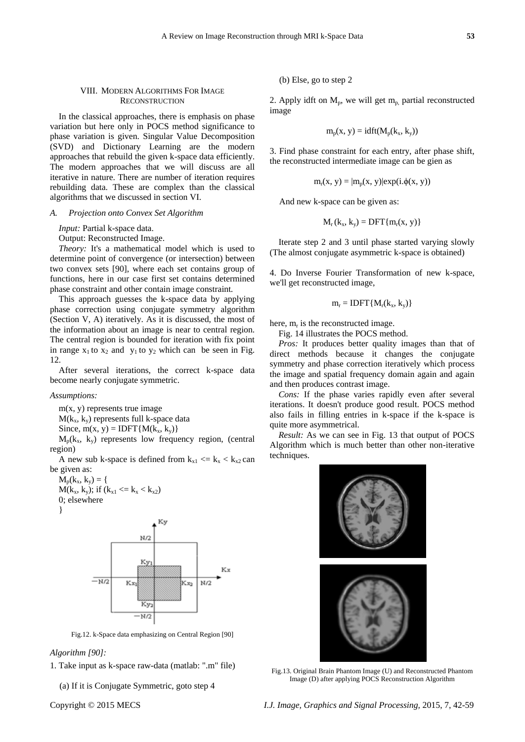In the classical approaches, there is emphasis on phase variation but here only in POCS method significance to phase variation is given. Singular Value Decomposition (SVD) and Dictionary Learning are the modern approaches that rebuild the given k-space data efficiently. The modern approaches that we will discuss are all iterative in nature. There are number of iteration requires rebuilding data. These are complex than the classical algorithms that we discussed in section VI.

#### *A. Projection onto Convex Set Algorithm*

*Input:* Partial k-space data.

Output: Reconstructed Image.

*Theory:* It's a mathematical model which is used to determine point of convergence (or intersection) between two convex sets [90], where each set contains group of functions, here in our case first set contains determined phase constraint and other contain image constraint*.*

This approach guesses the k-space data by applying phase correction using conjugate symmetry algorithm (Section V, A) iteratively. As it is discussed, the most of the information about an image is near to central region. The central region is bounded for iteration with fix point in range  $x_1$  to  $x_2$  and  $y_1$  to  $y_2$  which can be seen in Fig. 12.

After several iterations, the correct k-space data become nearly conjugate symmetric.

#### *Assumptions:*

m(x, y) represents true image  $M(k_x, k_y)$  represents full k-space data Since,  $m(x, y) = IDFT{M(k_x, k_y)}$ 

 $M_p(k_x, k_y)$  represents low frequency region, (central region)

A new sub k-space is defined from  $k_{x1} \le k_x \le k_{x2}$  can be given as:

 $M_p(k_x, k_y) = \{$  $M(k_x, k_y)$ ; if  $(k_{x1} \le k_x \le k_{x2})$ 0; elsewhere



Kv  $\overline{M}D$ Ky<sub>l</sub> K v  $-\frac{1}{N}$ Kx Kx2  $N/2$ Ky,  $\overline{N/2}$ 

Fig.12. k-Space data emphasizing on Central Region [90]

*Algorithm [90]:* 

1. Take input as k-space raw-data (matlab: ".m" file)

(a) If it is Conjugate Symmetric, goto step 4

(b) Else, go to step 2

2. Apply idft on  $M_p$ , we will get  $m_p$  partial reconstructed image

$$
m_p(x, y) = idft(M_p(k_x, k_y))
$$

3. Find phase constraint for each entry, after phase shift, the reconstructed intermediate image can be gien as

$$
m_r(x, y) = |m_p(x, y)| \exp(i \phi(x, y))
$$

And new k-space can be given as:

$$
M_r(k_x, k_y) = DFT{m_r(x, y)}
$$

Iterate step 2 and 3 until phase started varying slowly (The almost conjugate asymmetric k-space is obtained)

4. Do Inverse Fourier Transformation of new k-space, we'll get reconstructed image,

$$
m_r = IDFT\{M_r(k_x, k_y)\}
$$

here,  $m_r$  is the reconstructed image.

Fig. 14 illustrates the POCS method.

*Pros:* It produces better quality images than that of direct methods because it changes the conjugate symmetry and phase correction iteratively which process the image and spatial frequency domain again and again and then produces contrast image.

*Cons:* If the phase varies rapidly even after several iterations. It doesn't produce good result. POCS method also fails in filling entries in k-space if the k-space is quite more asymmetrical.

*Result:* As we can see in Fig. 13 that output of POCS Algorithm which is much better than other non-iterative techniques.

Fig.13. Original Brain Phantom Image (U) and Reconstructed Phantom Image (D) after applying POCS Reconstruction Algorithm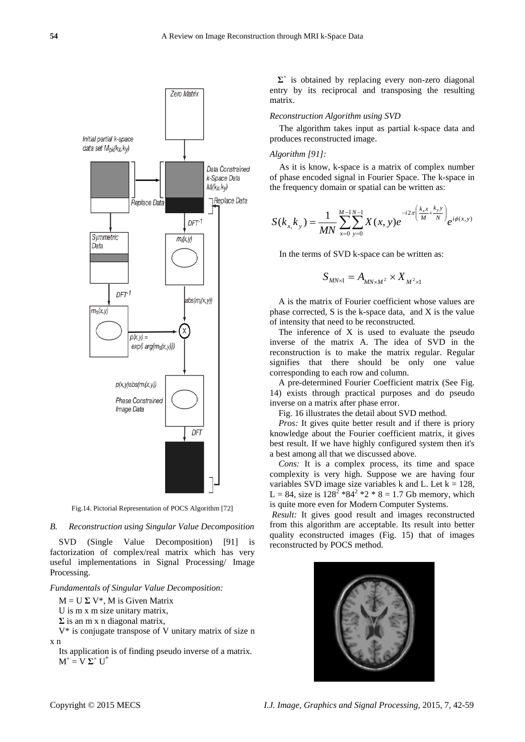

Fig.14. Pictorial Representation of POCS Algorithm [72]

#### *B. Reconstruction using Singular Value Decomposition*

SVD (Single Value Decomposition) [91] is factorization of complex/real matrix which has very useful implementations in Signal Processing/ Image Processing.

#### *Fundamentals of Singular Value Decomposition:*

 $M = U \Sigma V^*$ , M is Given Matrix

- U is m x m size unitary matrix,
- **Σ** is an m x n diagonal matrix,
- V\* is conjugate transpose of V unitary matrix of size n x n
	- Its application is of finding pseudo inverse of a matrix.  $M^+ = V \Sigma^+ U^*$

**Σ** + is obtained by replacing every non-zero diagonal entry by its reciprocal and transposing the resulting matrix.

#### *Reconstruction Algorithm using SVD*

The algorithm takes input as partial k-space data and produces reconstructed image.

# *Algorithm [91]:*

As it is know, k-space is a matrix of complex number of phase encoded signal in Fourier Space. The k-space in the frequency domain or spatial can be written as:

$$
S(k_{x,}k_{y}) = \frac{1}{MN} \sum_{x=0}^{M-1}\sum_{y=0}^{N-1} X(x, y)e^{-i2\pi \left(\frac{k_{x}x}{M} + \frac{k_{y}y}{N}\right)}e^{i\phi(x, y)}
$$

In the terms of SVD k-space can be written as:

$$
S_{MN\times 1} = A_{MN\times M^2} \times X_{M^2\times 1}
$$

A is the matrix of Fourier coefficient whose values are phase corrected, S is the k-space data, and X is the value of intensity that need to be reconstructed.

The inference of X is used to evaluate the pseudo inverse of the matrix A. The idea of SVD in the reconstruction is to make the matrix regular. Regular signifies that there should be only one value corresponding to each row and column.

A pre-determined Fourier Coefficient matrix (See Fig. 14) exists through practical purposes and do pseudo inverse on a matrix after phase error.

Fig. 16 illustrates the detail about SVD method.

*Pros:* It gives quite better result and if there is priory knowledge about the Fourier coefficient matrix, it gives best result. If we have highly configured system then it's a best among all that we discussed above.

*Cons:* It is a complex process, its time and space complexity is very high. Suppose we are having four variables SVD image size variables k and L. Let  $k = 128$ , L = 84, size is  $128^2 * 84^2 * 2 * 8 = 1.7$  Gb memory, which is quite more even for Modern Computer Systems.

*Result:* It gives good result and images reconstructed from this algorithm are acceptable. Its result into better quality econstructed images (Fig. 15) that of images reconstructed by POCS method.

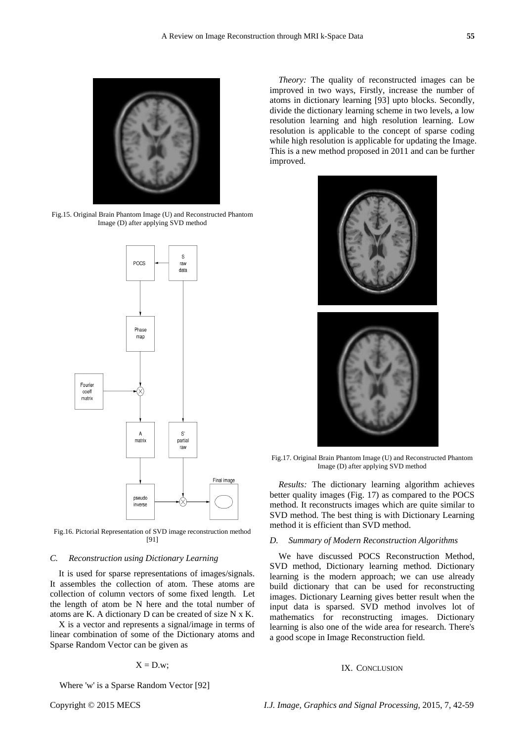

Fig.15. Original Brain Phantom Image (U) and Reconstructed Phantom Image (D) after applying SVD method



Fig.16. Pictorial Representation of SVD image reconstruction method [91]

#### *C. Reconstruction using Dictionary Learning*

It is used for sparse representations of images/signals. It assembles the collection of atom. These atoms are collection of column vectors of some fixed length. Let the length of atom be N here and the total number of atoms are K. A dictionary D can be created of size N x K.

X is a vector and represents a signal/image in terms of linear combination of some of the Dictionary atoms and Sparse Random Vector can be given as

$$
X = D.w;
$$

Where 'w' is a Sparse Random Vector [92]

*Theory:* The quality of reconstructed images can be improved in two ways, Firstly, increase the number of atoms in dictionary learning [93] upto blocks. Secondly, divide the dictionary learning scheme in two levels, a low resolution learning and high resolution learning. Low resolution is applicable to the concept of sparse coding while high resolution is applicable for updating the Image. This is a new method proposed in 2011 and can be further improved.



Fig.17. Original Brain Phantom Image (U) and Reconstructed Phantom Image (D) after applying SVD method

*Results:* The dictionary learning algorithm achieves better quality images (Fig. 17) as compared to the POCS method. It reconstructs images which are quite similar to SVD method. The best thing is with Dictionary Learning method it is efficient than SVD method.

#### *D. Summary of Modern Reconstruction Algorithms*

We have discussed POCS Reconstruction Method, SVD method, Dictionary learning method. Dictionary learning is the modern approach; we can use already build dictionary that can be used for reconstructing images. Dictionary Learning gives better result when the input data is sparsed. SVD method involves lot of mathematics for reconstructing images. Dictionary learning is also one of the wide area for research. There's a good scope in Image Reconstruction field.

#### IX. CONCLUSION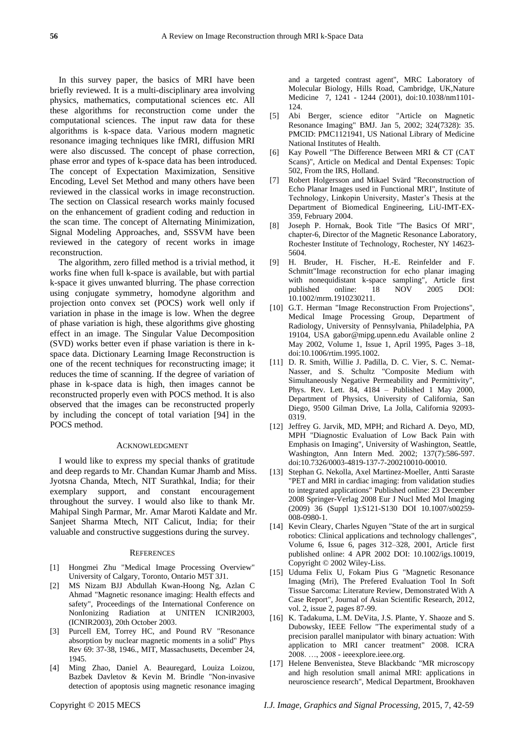In this survey paper, the basics of MRI have been briefly reviewed. It is a multi-disciplinary area involving physics, mathematics, computational sciences etc. All these algorithms for reconstruction come under the computational sciences. The input raw data for these algorithms is k-space data. Various modern magnetic resonance imaging techniques like fMRI, diffusion MRI were also discussed. The concept of phase correction, phase error and types of k-space data has been introduced. The concept of Expectation Maximization, Sensitive Encoding, Level Set Method and many others have been reviewed in the classical works in image reconstruction. The section on Classical research works mainly focused on the enhancement of gradient coding and reduction in the scan time. The concept of Alternating Minimization, Signal Modeling Approaches, and, SSSVM have been reviewed in the category of recent works in image reconstruction.

The algorithm, zero filled method is a trivial method, it works fine when full k-space is available, but with partial k-space it gives unwanted blurring. The phase correction using conjugate symmetry, homodyne algorithm and projection onto convex set (POCS) work well only if variation in phase in the image is low. When the degree of phase variation is high, these algorithms give ghosting effect in an image. The Singular Value Decomposition (SVD) works better even if phase variation is there in kspace data. Dictionary Learning Image Reconstruction is one of the recent techniques for reconstructing image; it reduces the time of scanning. If the degree of variation of phase in k-space data is high, then images cannot be reconstructed properly even with POCS method. It is also observed that the images can be reconstructed properly by including the concept of total variation [94] in the POCS method.

#### ACKNOWLEDGMENT

I would like to express my special thanks of gratitude and deep regards to Mr. Chandan Kumar Jhamb and Miss. Jyotsna Chanda, Mtech, NIT Surathkal, India; for their exemplary support, and constant encouragement throughout the survey. I would also like to thank Mr. Mahipal Singh Parmar, Mr. Amar Maroti Kaldate and Mr. Sanjeet Sharma Mtech, NIT Calicut, India; for their valuable and constructive suggestions during the survey.

#### **REFERENCES**

- [1] Hongmei Zhu "Medical Image Processing Overview" University of Calgary, Toronto, Ontario M5T 3J1.
- [2] MS Nizam BJJ Abdullah Kwan-Hoong Ng, Azlan C Ahmad "Magnetic resonance imaging: Health effects and safety", Proceedings of the International Conference on NonIonizing Radiation at UNITEN ICNIR2003, (ICNIR2003), 20th October 2003.
- [3] Purcell EM, Torrey HC, and Pound RV "Resonance absorption by nuclear magnetic moments in a solid" Phys Rev 69: 37-38, 1946., MIT, Massachusetts, December 24, 1945.
- [4] Ming Zhao, Daniel A. Beauregard, Louiza Loizou, Bazbek Davletov & Kevin M. Brindle "Non-invasive detection of apoptosis using magnetic resonance imaging

and a targeted contrast agent", MRC Laboratory of Molecular Biology, Hills Road, Cambridge, UK,Nature Medicine 7, 1241 - 1244 (2001), doi:10.1038/nm1101- 124.

- [5] Abi Berger, science editor "Article on Magnetic Resonance Imaging" BMJ. Jan 5, 2002; 324(7328): 35. PMCID: PMC1121941, US National Library of Medicine National Institutes of Health.
- [6] Kay Powell "The Difference Between MRI & CT (CAT Scans)", Article on Medical and Dental Expenses: Topic 502, From the IRS, Holland.
- [7] Robert Holgersson and Mikael Svärd "Reconstruction of Echo Planar Images used in Functional MRI", Institute of Technology, Linkopin University, Master's Thesis at the Department of Biomedical Engineering, LiU-IMT-EX-359, February 2004.
- [8] Joseph P. Hornak, Book Title "The Basics Of MRI", chapter-6, Director of the Magnetic Resonance Laboratory, Rochester Institute of Technology, Rochester, NY 14623- 5604.
- [9] H. Bruder, H. Fischer, H.-E. Reinfelder and F. Schmitt"Image reconstruction for echo planar imaging with nonequidistant k-space sampling", Article first published online: 18 NOV 2005 DOI: 10.1002/mrm.1910230211.
- [10] G.T. Herman "Image Reconstruction From Projections", Medical Image Processing Group, Department of Radiology, University of Pennsylvania, Philadelphia, PA 19104, USA gabor@mipg.upenn.edu Available online 2 May 2002, Volume 1, Issue 1, April 1995, Pages 3–18, doi:10.1006/rtim.1995.1002.
- [11] D. R. Smith, Willie J. Padilla, D. C. Vier, S. C. Nemat-Nasser, and S. Schultz "Composite Medium with Simultaneously Negative Permeability and Permittivity", Phys. Rev. Lett. 84, 4184 – Published 1 May 2000, Department of Physics, University of California, San Diego, 9500 Gilman Drive, La Jolla, California 92093- 0319.
- [12] Jeffrey G. Jarvik, MD, MPH; and Richard A. Deyo, MD, MPH "Diagnostic Evaluation of Low Back Pain with Emphasis on Imaging", University of Washington, Seattle, Washington, Ann Intern Med. 2002; 137(7):586-597. doi:10.7326/0003-4819-137-7-200210010-00010.
- [13] Stephan G. Nekolla, Axel Martinez-Moeller, Antti Saraste "PET and MRI in cardiac imaging: from validation studies to integrated applications" Published online: 23 December 2008 Springer-Verlag 2008 Eur J Nucl Med Mol Imaging (2009) 36 (Suppl 1):S121-S130 DOI 10.1007/s00259- 008-0980-1.
- [14] Kevin Cleary, Charles Nguyen "State of the art in surgical robotics: Clinical applications and technology challenges", Volume 6, Issue 6, pages 312–328, 2001, Article first published online: 4 APR 2002 DOI: 10.1002/igs.10019, Copyright © 2002 Wiley-Liss.
- [15] Uduma Felix U, Fokam Pius G "Magnetic Resonance Imaging (Mri), The Prefered Evaluation Tool In Soft Tissue Sarcoma: Literature Review, Demonstrated With A Case Report", Journal of Asian Scientific Research, 2012, vol. 2, issue 2, pages 87-99.
- [16] K. Tadakuma, L.M. DeVita, J.S. Plante, Y. Shaoze and S. Dubowsky, IEEE Fellow "The experimental study of a precision parallel manipulator with binary actuation: With application to MRI cancer treatment" 2008. ICRA 2008. …, 2008 - ieeexplore.ieee.org.
- [17] Helene Benvenistea, Steve Blackbandc "MR microscopy and high resolution small animal MRI: applications in neuroscience research", Medical Department, Brookhaven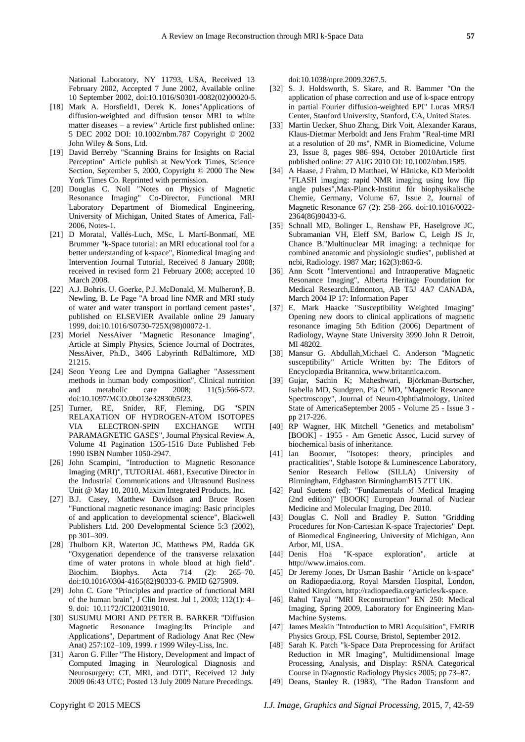National Laboratory, NY 11793, USA, Received 13 February 2002, Accepted 7 June 2002, Available online 10 September 2002, doi:10.1016/S0301-0082(02)00020-5.

- [18] Mark A. Horsfield1, Derek K. Jones"Applications of diffusion-weighted and diffusion tensor MRI to white matter diseases – a review" Article first published online: 5 DEC 2002 DOI: 10.1002/nbm.787 Copyright © 2002 John Wiley & Sons, Ltd.
- [19] David Berreby "Scanning Brains for Insights on Racial Perception" Article publish at NewYork Times, Science Section, September 5, 2000, Copyright © 2000 The New York Times Co. Reprinted with permission.
- [20] Douglas C. Noll "Notes on Physics of Magnetic Resonance Imaging" Co-Director, Functional MRI Laboratory Department of Biomedical Engineering, University of Michigan, United States of America, Fall-2006, Notes-1.
- [21] D Moratal, Vall és-Luch, MSc, L Mart í Bonmat í ME Brummer "k-Space tutorial: an MRI educational tool for a better understanding of k-space", Biomedical Imaging and Intervention Journal Tutorial, Received 8 January 2008; received in revised form 21 February 2008; accepted 10 March 2008.
- [22] A.J. Bohris, U. Goerke, P.J. McDonald, M. Mulheron†, B. Newling, B. Le Page "A broad line NMR and MRI study of water and water transport in portland cement pastes", published on ELSEVIER Available online 29 January 1999, doi:10.1016/S0730-725X(98)00072-1.
- [23] Moriel NessAiver "Magnetic Resonance Imaging", Article at Simply Physics, Science Journal of Doctrates, NessAiver, Ph.D., 3406 Labyrinth RdBaltimore, MD 21215.
- [24] Seon Yeong Lee and Dympna Gallagher "Assessment methods in human body composition", Clinical nutrition and metabolic care 2008; 11(5):566-572. doi:10.1097/MCO.0b013e32830b5f23.
- [25] Turner, RE, Snider, RF, Fleming, DG "SPIN RELAXATION OF HYDROGEN-ATOM ISOTOPES VIA ELECTRON-SPIN EXCHANGE WITH PARAMAGNETIC GASES", Journal Physical Review A, Volume 41 Pagination 1505-1516 Date Published Feb 1990 ISBN Number 1050-2947.
- [26] John Scampini, "Introduction to Magnetic Resonance Imaging (MRI)", TUTORIAL 4681, Executive Director in the Industrial Communications and Ultrasound Business Unit @ May 10, 2010, Maxim Integrated Products, Inc.
- [27] B.J. Casey, Matthew Davidson and Bruce Rosen "Functional magnetic resonance imaging: Basic principles of and application to developmental science", Blackwell Publishers Ltd. 200 Developmental Science 5:3 (2002), pp 301–309.
- [28] Thulborn KR, Waterton JC, Matthews PM, Radda GK "Oxygenation dependence of the transverse relaxation time of water protons in whole blood at high field". Biochim. Biophys. Acta 714 (2): 265–70. doi:10.1016/0304-4165(82)90333-6. PMID 6275909.
- [29] John C. Gore "Principles and practice of functional MRI of the human brain", J Clin Invest. Jul 1, 2003; 112(1): 4– 9. doi: 10.1172/JCI200319010.
- [30] SUSUMU MORI AND PETER B. BARKER "Diffusion Magnetic Resonance Imaging:Its Principle and Applications", Department of Radiology Anat Rec (New Anat) 257:102–109, 1999. r 1999 Wiley-Liss, Inc.
- [31] Aaron G. Filler "The History, Development and Impact of Computed Imaging in Neurological Diagnosis and Neurosurgery: CT, MRI, and DTI", Received 12 July 2009 06:43 UTC; Posted 13 July 2009 Nature Precedings.

doi:10.1038/npre.2009.3267.5.

- [32] S. J. Holdsworth, S. Skare, and R. Bammer "On the application of phase correction and use of k-space entropy in partial Fourier diffusion-weighted EPI" Lucas MRS/I Center, Stanford University, Stanford, CA, United States.
- [33] Martin Uecker, Shuo Zhang, Dirk Voit, Alexander Karaus, Klaus-Dietmar Merboldt and Jens Frahm "Real-time MRI at a resolution of 20 ms", NMR in Biomedicine, Volume 23, Issue 8, pages 986–994, October 2010Article first published online: 27 AUG 2010 OI: 10.1002/nbm.1585.
- [34] A Haase, J Frahm, D Matthaei, W Hänicke, KD Merboldt "FLASH imaging: rapid NMR imaging using low flip angle pulses",Max-Planck-Institut für biophysikalische Chemie, Germany, Volume 67, Issue 2, Journal of Magnetic Resonance 67 (2): 258–266. doi:10.1016/0022- 2364(86)90433-6.
- [35] Schnall MD, Bolinger L, Renshaw PF, Haselgrove JC, Subramanian VH, Eleff SM, Barlow C, Leigh JS Jr, Chance B."Multinuclear MR imaging: a technique for combined anatomic and physiologic studies", published at ncbi, Radiology. 1987 Mar; 162(3):863-6.
- [36] Ann Scott "Interventional and Intraoperative Magnetic Resonance Imaging", Alberta Heritage Foundation for Medical Research,Edmonton, AB T5J 4A7 CANADA, March 2004 IP 17: Information Paper
- [37] E. Mark Haacke "Susceptibility Weighted Imaging" Opening new doors to clinical applications of magnetic resonance imaging 5th Edition (2006) Department of Radiology, Wayne State University 3990 John R Detroit, MI 48202.
- [38] Mansur G. Abdullah,Michael C. Anderson "Magnetic susceptibility" Article Written by: The Editors of Encyclopædia Britannica, www.britannica.com.
- [39] Gujar, Sachin K; Maheshwari, Björkman-Burtscher, Isabella MD, Sundgren, Pia C MD, "Magnetic Resonance Spectroscopy", Journal of Neuro-Ophthalmology, United State of AmericaSeptember 2005 - Volume 25 - Issue 3 pp 217-226.
- [40] RP Wagner, HK Mitchell "Genetics and metabolism" [BOOK] - 1955 - Am Genetic Assoc, Lucid survey of biochemical basis of inheritance.
- [41] Ian Boomer, "Isotopes: theory, principles and practicalities", Stable Isotope & Luminescence Laboratory, Senior Research Fellow (SILLA) University of Birmingham, Edgbaston BirminghamB15 2TT UK.
- [42] Paul Suetens (ed): "Fundamentals of Medical Imaging (2nd edition)" [BOOK] European Journal of Nuclear Medicine and Molecular Imaging, Dec 2010.
- [43] Douglas C. Noll and Bradley P. Sutton "Gridding" Procedures for Non-Cartesian K-space Trajectories" Dept. of Biomedical Engineering, University of Michigan, Ann Arbor, MI, USA.<br>Denis Hoa "K-space
- [44] Denis Hoa "K-space exploration", article at http://www.imaios.com.
- [45] Dr Jeremy Jones, Dr Usman Bashir "Article on k-space" on Radiopaedia.org, Royal Marsden Hospital, London, United Kingdom, http://radiopaedia.org/articles/k-space.
- [46] Rahul Tayal "MRI Reconstruction" EN 250: Medical Imaging, Spring 2009, Laboratory for Engineering Man-Machine Systems.
- [47] James Meakin "Introduction to MRI Acquisition", FMRIB Physics Group, FSL Course, Bristol, September 2012.
- [48] Sarah K. Patch "k-Space Data Preprocessing for Artifact Reduction in MR Imaging", Multidimensional Image Processing, Analysis, and Display: RSNA Categorical Course in Diagnostic Radiology Physics 2005; pp 73–87.
- [49] Deans, Stanley R. (1983), "The Radon Transform and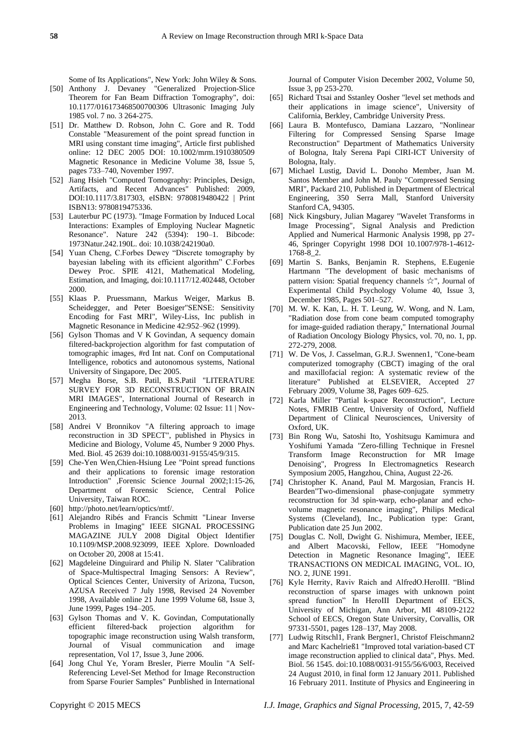Some of Its Applications", New York: John Wiley & Sons.

- [50] Anthony J. Devaney "Generalized Projection-Slice Theorem for Fan Beam Diffraction Tomography", doi: 10.1177/016173468500700306 Ultrasonic Imaging July 1985 vol. 7 no. 3 264-275.
- [51] Dr. Matthew D. Robson, John C. Gore and R. Todd Constable "Measurement of the point spread function in MRI using constant time imaging", Article first published online: 12 DEC 2005 DOI: 10.1002/mrm.1910380509 Magnetic Resonance in Medicine Volume 38, Issue 5, pages 733–740, November 1997.
- [52] Jiang Hsieh "Computed Tomography: Principles, Design, Artifacts, and Recent Advances" Published: 2009, DOI:10.1117/3.817303, eISBN: 9780819480422 | Print ISBN13: 9780819475336.
- [53] Lauterbur PC (1973). "Image Formation by Induced Local Interactions: Examples of Employing Nuclear Magnetic Resonance". Nature 242 (5394): 190–1. Bibcode: 1973Natur.242.190L. doi: 10.1038/242190a0.
- [54] Yuan Cheng, C.Forbes Dewey "Discrete tomography by bayesian labeling with its efficient algorithm" C.Forbes Dewey Proc. SPIE 4121, Mathematical Modeling, Estimation, and Imaging, doi:10.1117/12.402448, October 2000.
- [55] Klaas P. Pruessmann, Markus Weiger, Markus B. Scheidegger, and Peter Boesiger"SENSE: Sensitivity Encoding for Fast MRI", Wiley-Liss, Inc publish in Magnetic Resonance in Medicine 42:952–962 (1999).
- [56] Gylson Thomas and V K Govindan, A sequency domain filtered-backprojection algorithm for fast computation of tomographic images, #rd Int nat. Conf on Computational Intelligence, robotics and autonomous systems, National University of Singapore, Dec 2005.
- [57] Megha Borse, S.B. Patil, B.S.Patil "LITERATURE SURVEY FOR 3D RECONSTRUCTION OF BRAIN MRI IMAGES", International Journal of Research in Engineering and Technology, Volume: 02 Issue: 11 | Nov-2013.
- [58] Andrei V Bronnikov "A filtering approach to image reconstruction in 3D SPECT", published in Physics in Medicine and Biology, Volume 45, Number 9 2000 Phys. Med. Biol. 45 2639 doi:10.1088/0031-9155/45/9/315.
- [59] Che-Yen Wen,Chien-Hsiung Lee "Point spread functions and their applications to forensic image restoration Introduction" ,Forensic Science Journal 2002;1:15-26, Department of Forensic Science, Central Police University, Taiwan ROC.
- [60] http://photo.net/learn/optics/mtf/.
- [61] Alejandro Ribés and Francis Schmitt "Linear Inverse Problems in Imaging" IEEE SIGNAL PROCESSING MAGAZINE JULY 2008 Digital Object Identifier 10.1109/MSP.2008.923099, IEEE Xplore. Downloaded on October 20, 2008 at 15:41.
- [62] Magdeleine Dinguirard and Philip N. Slater "Calibration of Space-Multispectral Imaging Sensors: A Review", Optical Sciences Center, University of Arizona, Tucson, AZUSA Received 7 July 1998, Revised 24 November 1998, Available online 21 June 1999 Volume 68, Issue 3, June 1999, Pages 194–205.
- [63] Gylson Thomas and V. K. Govindan, Computationally efficient filtered-back projection algorithm for topographic image reconstruction using Walsh transform, Journal of Visual communication and image representation, Vol 17, Issue 3, June 2006.
- [64] Jong Chul Ye, Yoram Bresler, Pierre Moulin "A Self-Referencing Level-Set Method for Image Reconstruction from Sparse Fourier Samples" Punblished in International

Journal of Computer Vision December 2002, Volume 50, Issue 3, pp 253-270.

- [65] Richard Ttsai and Sstanley Oosher "level set methods and their applications in image science", University of California, Berkley, Cambridge University Press.
- [66] Laura B. Montefusco, Damiana Lazzaro, "Nonlinear Filtering for Compressed Sensing Sparse Image Reconstruction" Department of Mathematics University of Bologna, Italy Serena Papi CIRI-ICT University of Bologna, Italy.
- [67] Michael Lustig, David L. Donoho Member, Juan M. Santos Member and John M. Pauly "Compressed Sensing MRI", Packard 210, Published in Department of Electrical Engineering, 350 Serra Mall, Stanford University Stanford CA, 94305.
- [68] Nick Kingsbury, Julian Magarey "Wavelet Transforms in Image Processing", Signal Analysis and Prediction Applied and Numerical Harmonic Analysis 1998, pp 27- 46, Springer Copyright 1998 DOI 10.1007/978-1-4612- 1768-8\_2.
- [69] Martin S. Banks, Benjamin R. Stephens, E.Eugenie Hartmann "The development of basic mechanisms of pattern vision: Spatial frequency channels ☆", Journal of Experimental Child Psychology Volume 40, Issue 3, December 1985, Pages 501–527.
- [70] M. W. K. Kan, L. H. T. Leung, W. Wong, and N. Lam, "Radiation dose from cone beam computed tomography for image-guided radiation therapy," International Journal of Radiation Oncology Biology Physics, vol. 70, no. 1, pp. 272-279, 2008.
- [71] W. De Vos, J. Casselman, G.R.J. Swennen1, "Cone-beam computerized tomography (CBCT) imaging of the oral and maxillofacial region: A systematic review of the literature" Published at ELSEVIER, Accepted 27 February 2009, Volume 38, Pages 609–625.
- [72] Karla Miller "Partial k-space Reconstruction", Lecture Notes, FMRIB Centre, University of Oxford, Nuffield Department of Clinical Neurosciences, University of Oxford, UK.
- [73] Bin Rong Wu, Satoshi Ito, Yoshitsugu Kamimura and Yoshifumi Yamada "Zero-filling Technique in Fresnel Transform Image Reconstruction for MR Image Denoising", Progress In Electromagnetics Research Symposium 2005, Hangzhou, China, August 22-26.
- [74] Christopher K. Anand, Paul M. Margosian, Francis H. Bearden"Two-dimensional phase-conjugate symmetry reconstruction for 3d spin-warp, echo-planar and echovolume magnetic resonance imaging", Philips Medical Systems (Cleveland), Inc., Publication type: Grant, Publication date 25 Jun 2002.
- [75] Douglas C. Noll, Dwight G. Nishimura, Member, IEEE, and Albert Macovski, Fellow, IEEE "Homodyne Detection in Magnetic Resonance Imaging", IEEE TRANSACTIONS ON MEDICAL IMAGING, VOL. IO, NO. 2, JUNE 1991.
- [76] Kyle Herrity, Raviv Raich and AlfredO.HeroIII. "Blind reconstruction of sparse images with unknown point spread function" In HeroIII Department of EECS, University of Michigan, Ann Arbor, MI 48109-2122 School of EECS, Oregon State University, Corvallis, OR 97331-5501, pages 128–137, May 2008.
- [77] Ludwig Ritschl1, Frank Bergner1, Christof Fleischmann2 and Marc Kachelrieß1 "Improved total variation-based CT image reconstruction applied to clinical data", Phys. Med. Biol. 56 1545. doi:10.1088/0031-9155/56/6/003, Received 24 August 2010, in final form 12 January 2011. Published 16 February 2011. Institute of Physics and Engineering in